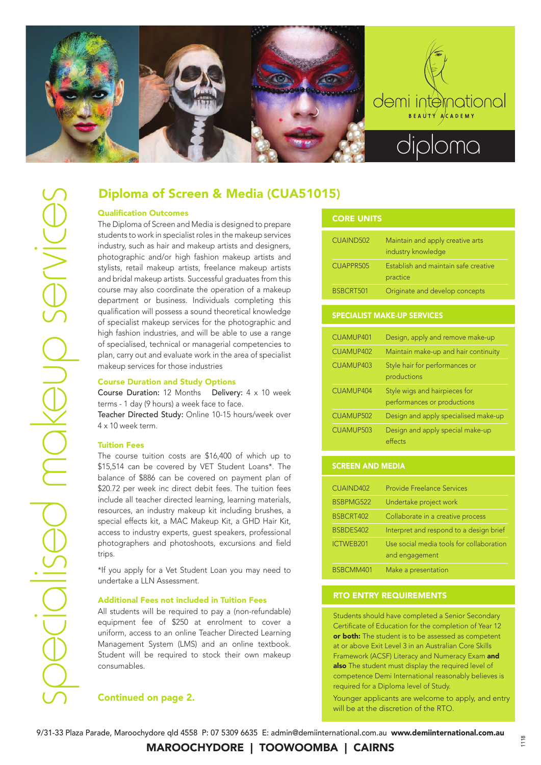

# Diploma of Screen & Media (CUA51015)

# Qualification Outcomes

The Diploma of Screen and Media is designed to prepare students to work in specialist roles in the makeup services industry, such as hair and makeup artists and designers, photographic and/or high fashion makeup artists and stylists, retail makeup artists, freelance makeup artists and bridal makeup artists. Successful graduates from this course may also coordinate the operation of a makeup department or business. Individuals completing this qualification will possess a sound theoretical knowledge of specialist makeup services for the photographic and high fashion industries, and will be able to use a range of specialised, technical or managerial competencies to plan, carry out and evaluate work in the area of specialist makeup services for those industries

### Course Duration and Study Options

Course Duration: 12 Months Delivery: 4 x 10 week terms - 1 day (9 hours) a week face to face.

Teacher Directed Study: Online 10-15 hours/week over 4 x 10 week term.

### Tuition Fees

The course tuition costs are \$16,400 of which up to \$15,514 can be covered by VET Student Loans\*. The balance of \$886 can be covered on payment plan of \$20.72 per week inc direct debit fees. The tuition fees include all teacher directed learning, learning materials, resources, an industry makeup kit including brushes, a special effects kit, a MAC Makeup Kit, a GHD Hair Kit, access to industry experts, guest speakers, professional photographers and photoshoots, excursions and field trips.

\*If you apply for a Vet Student Loan you may need to undertake a LLN Assessment.

### Additional Fees not included in Tuition Fees

All students will be required to pay a (non-refundable) equipment fee of \$250 at enrolment to cover a uniform, access to an online Teacher Directed Learning Management System (LMS) and an online textbook. Student will be required to stock their own makeup consumables.

# Continued on page 2.

| <b>CORE UNITS</b> |                                                        |
|-------------------|--------------------------------------------------------|
| CUAIND502         | Maintain and apply creative arts<br>industry knowledge |
| CUAPPR505         | Establish and maintain safe creative<br>practice       |
| BSBCRT501         | Originate and develop concepts                         |

### SPECIALIST MAKE-UP SERVICES

| CUAMUP401        | Design, apply and remove make-up                             |
|------------------|--------------------------------------------------------------|
| CUAMUP402        | Maintain make-up and hair continuity                         |
| CUAMUP403        | Style hair for performances or<br>productions                |
| CUAMUP404        | Style wigs and hairpieces for<br>performances or productions |
| CUAMUP502        | Design and apply specialised make-up                         |
| <b>CUAMUP503</b> | Design and apply special make-up<br>effects                  |

# SCREEN AND MEDIA

| CUAIND402        | <b>Provide Freelance Services</b>                          |
|------------------|------------------------------------------------------------|
| BSBPMG522        | Undertake project work                                     |
| BSBCRT402        | Collaborate in a creative process                          |
| BSBDES402        | Interpret and respond to a design brief                    |
| <b>ICTWEB201</b> | Use social media tools for collaboration<br>and engagement |
| BSBCMM401        | Make a presentation                                        |

# RTO ENTRY REQUIREMENTS

Students should have completed a Senior Secondary Certificate of Education for the completion of Year 12 or both: The student is to be assessed as competent at or above Exit Level 3 in an Australian Core Skills Framework (ACSF) Literacy and Numeracy Exam and also The student must display the required level of competence Demi International reasonably believes is required for a Diploma level of Study.

Younger applicants are welcome to apply, and entry will be at the discretion of the RTO.

9/31-33 Plaza Parade, Maroochydore qld 4558 P: 07 5309 6635 E: admin@demiinternational.com.au www.demiinternational.com.au